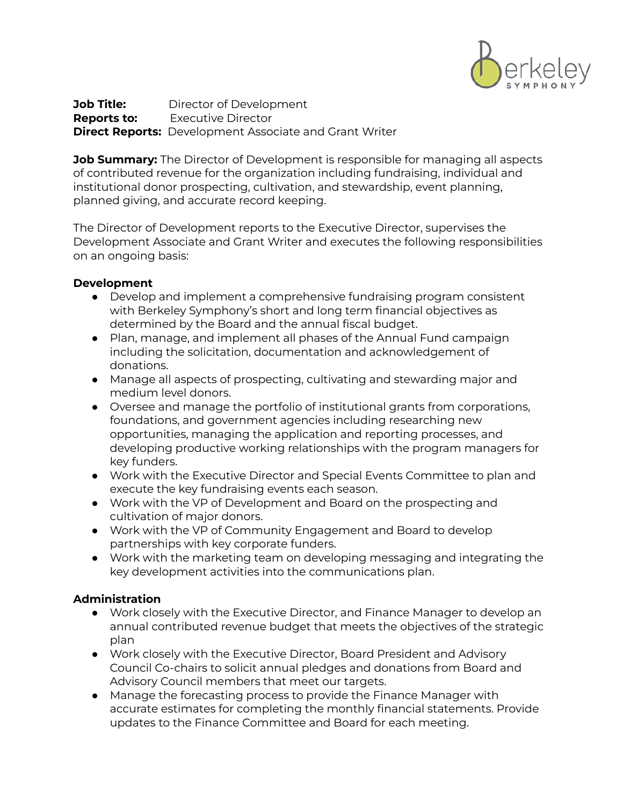

**Job Title:** Director of Development **Reports to:** Executive Director **Direct Reports:** Development Associate and Grant Writer

**Job Summary:** The Director of Development is responsible for managing all aspects of contributed revenue for the organization including fundraising, individual and institutional donor prospecting, cultivation, and stewardship, event planning, planned giving, and accurate record keeping.

The Director of Development reports to the Executive Director, supervises the Development Associate and Grant Writer and executes the following responsibilities on an ongoing basis:

## **Development**

- Develop and implement a comprehensive fundraising program consistent with Berkeley Symphony's short and long term financial objectives as determined by the Board and the annual fiscal budget.
- Plan, manage, and implement all phases of the Annual Fund campaign including the solicitation, documentation and acknowledgement of donations.
- Manage all aspects of prospecting, cultivating and stewarding major and medium level donors.
- Oversee and manage the portfolio of institutional grants from corporations, foundations, and government agencies including researching new opportunities, managing the application and reporting processes, and developing productive working relationships with the program managers for key funders.
- Work with the Executive Director and Special Events Committee to plan and execute the key fundraising events each season.
- Work with the VP of Development and Board on the prospecting and cultivation of major donors.
- Work with the VP of Community Engagement and Board to develop partnerships with key corporate funders.
- Work with the marketing team on developing messaging and integrating the key development activities into the communications plan.

## **Administration**

- Work closely with the Executive Director, and Finance Manager to develop an annual contributed revenue budget that meets the objectives of the strategic plan
- Work closely with the Executive Director, Board President and Advisory Council Co-chairs to solicit annual pledges and donations from Board and Advisory Council members that meet our targets.
- Manage the forecasting process to provide the Finance Manager with accurate estimates for completing the monthly financial statements. Provide updates to the Finance Committee and Board for each meeting.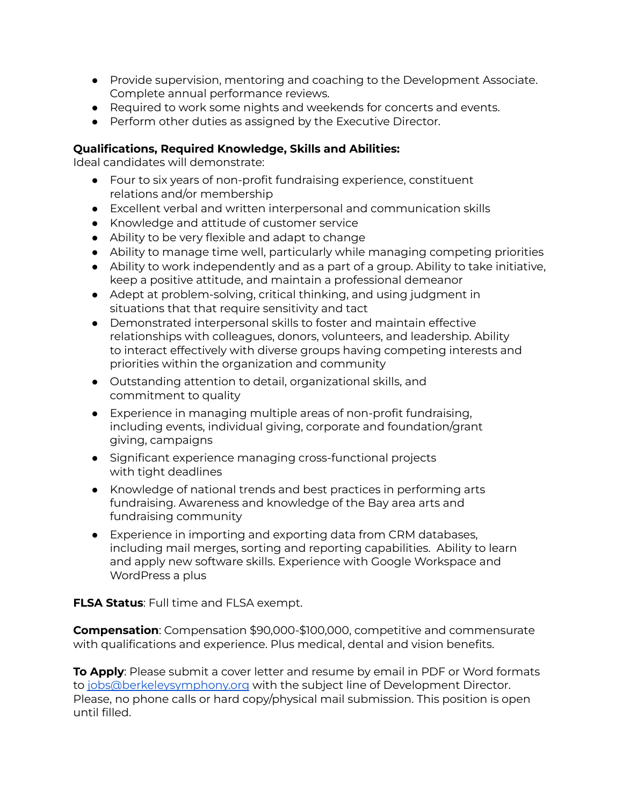- Provide supervision, mentoring and coaching to the Development Associate. Complete annual performance reviews.
- Required to work some nights and weekends for concerts and events.
- Perform other duties as assigned by the Executive Director.

## **Qualifications, Required Knowledge, Skills and Abilities:**

Ideal candidates will demonstrate:

- Four to six years of non-profit fundraising experience, constituent relations and/or membership
- Excellent verbal and written interpersonal and communication skills
- Knowledge and attitude of customer service
- Ability to be very flexible and adapt to change
- Ability to manage time well, particularly while managing competing priorities
- Ability to work independently and as a part of a group. Ability to take initiative, keep a positive attitude, and maintain a professional demeanor
- Adept at problem-solving, critical thinking, and using judgment in situations that that require sensitivity and tact
- Demonstrated interpersonal skills to foster and maintain effective relationships with colleagues, donors, volunteers, and leadership. Ability to interact effectively with diverse groups having competing interests and priorities within the organization and community
- Outstanding attention to detail, organizational skills, and commitment to quality
- Experience in managing multiple areas of non-profit fundraising, including events, individual giving, corporate and foundation/grant giving, campaigns
- Significant experience managing cross-functional projects with tight deadlines
- Knowledge of national trends and best practices in performing arts fundraising. Awareness and knowledge of the Bay area arts and fundraising community
- Experience in importing and exporting data from CRM databases, including mail merges, sorting and reporting capabilities. Ability to learn and apply new software skills. Experience with Google Workspace and WordPress a plus

**FLSA Status**: Full time and FLSA exempt.

**Compensation**: Compensation \$90,000-\$100,000, competitive and commensurate with qualifications and experience. Plus medical, dental and vision benefits.

**To Apply**: Please submit a cover letter and resume by email in PDF or Word formats to [jobs@berkeleysymphony.org](mailto:jobs@berkeleysymphony.org) with the subject line of Development Director. Please, no phone calls or hard copy/physical mail submission. This position is open until filled.